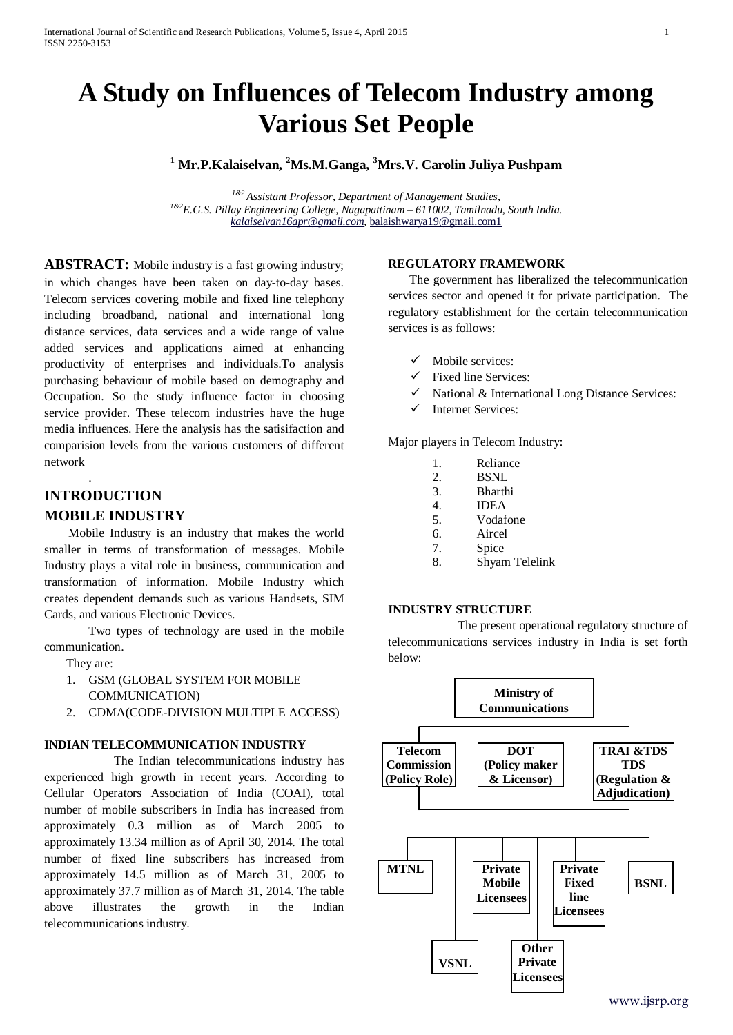# **A Study on Influences of Telecom Industry among Various Set People**

# **<sup>1</sup> Mr.P.Kalaiselvan, <sup>2</sup> Ms.M.Ganga, <sup>3</sup> Mrs.V. Carolin Juliya Pushpam**

*1&2 Assistant Professor, Department of Management Studies, 1&2E.G.S. Pillay Engineering College, Nagapattinam – 611002, Tamilnadu, South India. [kalaiselvan16apr@gmail.com,](mailto:kalaiselvan16apr@gmail.com)* [balaishwarya19@gmail.com1](mailto:balaishwarya19@gmail.com1)

**ABSTRACT:** Mobile industry is a fast growing industry; in which changes have been taken on day-to-day bases. Telecom services covering mobile and fixed line telephony including broadband, national and international long distance services, data services and a wide range of value added services and applications aimed at enhancing productivity of enterprises and individuals.To analysis purchasing behaviour of mobile based on demography and Occupation. So the study influence factor in choosing service provider. These telecom industries have the huge media influences. Here the analysis has the satisifaction and comparision levels from the various customers of different network

# **INTRODUCTION**

.

#### **MOBILE INDUSTRY**

 Mobile Industry is an industry that makes the world smaller in terms of transformation of messages. Mobile Industry plays a vital role in business, communication and transformation of information. Mobile Industry which creates dependent demands such as various Handsets, SIM Cards, and various Electronic Devices.

Two types of technology are used in the mobile communication.

- They are:
- 1. GSM (GLOBAL SYSTEM FOR MOBILE COMMUNICATION)
- 2. CDMA(CODE-DIVISION MULTIPLE ACCESS)

#### **INDIAN TELECOMMUNICATION INDUSTRY**

The Indian telecommunications industry has experienced high growth in recent years. According to Cellular Operators Association of India (COAI), total number of mobile subscribers in India has increased from approximately 0.3 million as of March 2005 to approximately 13.34 million as of April 30, 2014. The total number of fixed line subscribers has increased from approximately 14.5 million as of March 31, 2005 to approximately 37.7 million as of March 31, 2014. The table above illustrates the growth in the Indian telecommunications industry.

#### **REGULATORY FRAMEWORK**

 The government has liberalized the telecommunication services sector and opened it for private participation. The regulatory establishment for the certain telecommunication services is as follows:

- Mobile services:
- $\checkmark$  Fixed line Services:
- $\checkmark$  National & International Long Distance Services:
- $\checkmark$  Internet Services:

Major players in Telecom Industry:

- 1. Reliance<br>2. BSNL
- BSNL
- 3. Bharthi 4. IDEA
- 5. Vodafone
- 6. Aircel
- 7. Spice
- 8. Shyam Telelink

#### **INDUSTRY STRUCTURE**

The present operational regulatory structure of telecommunications services industry in India is set forth below:

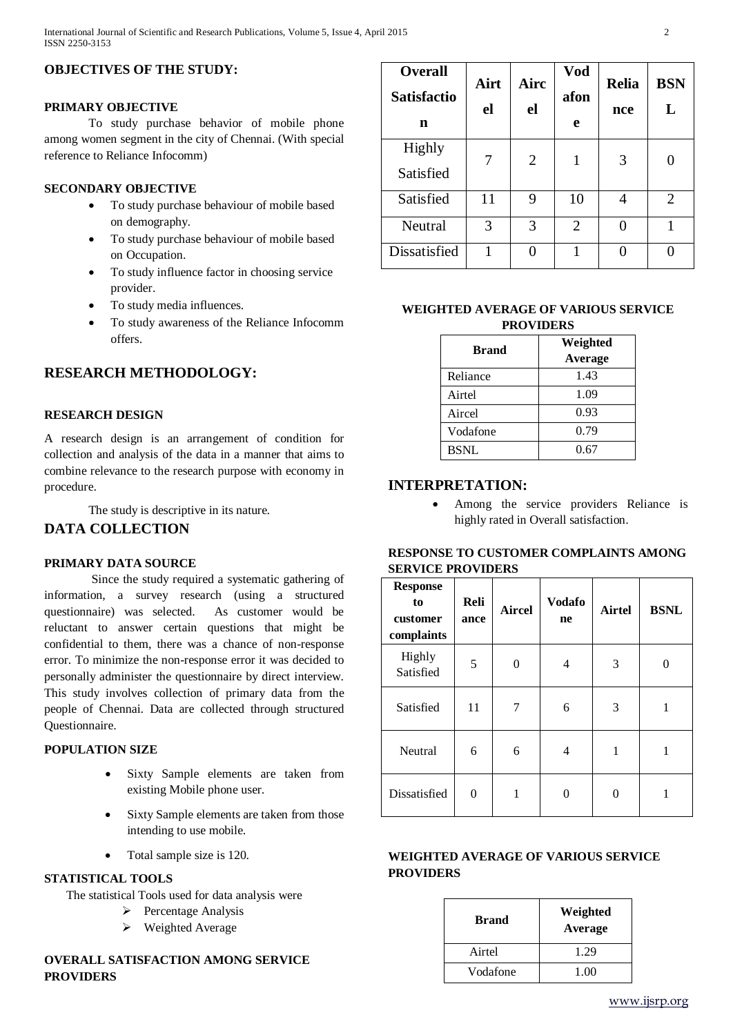# **OBJECTIVES OF THE STUDY:**

#### **PRIMARY OBJECTIVE**

To study purchase behavior of mobile phone among women segment in the city of Chennai. (With special reference to Reliance Infocomm)

# **SECONDARY OBJECTIVE**

- To study purchase behaviour of mobile based on demography.
- To study purchase behaviour of mobile based on Occupation.
- To study influence factor in choosing service provider.
- To study media influences.
- To study awareness of the Reliance Infocomm offers.

# **RESEARCH METHODOLOGY:**

# **RESEARCH DESIGN**

 A research design is an arrangement of condition for collection and analysis of the data in a manner that aims to combine relevance to the research purpose with economy in procedure.

The study is descriptive in its nature.

# **DATA COLLECTION**

#### **PRIMARY DATA SOURCE**

Since the study required a systematic gathering of information, a survey research (using a structured questionnaire) was selected. As customer would be reluctant to answer certain questions that might be confidential to them, there was a chance of non-response error. To minimize the non-response error it was decided to personally administer the questionnaire by direct interview. This study involves collection of primary data from the people of Chennai. Data are collected through structured Questionnaire.

#### **POPULATION SIZE**

- Sixty Sample elements are taken from existing Mobile phone user.
- Sixty Sample elements are taken from those intending to use mobile.
- Total sample size is 120.

#### **STATISTICAL TOOLS**

The statistical Tools used for data analysis were

- $\triangleright$  Percentage Analysis
- Weighted Average

### **OVERALL SATISFACTION AMONG SERVICE PROVIDERS**

| <b>Overall</b><br><b>Satisfactio</b><br>n | Airt<br>el | Airc<br>el     | Vod<br>afon<br>e | <b>Relia</b><br>nce | <b>BSN</b><br>L |
|-------------------------------------------|------------|----------------|------------------|---------------------|-----------------|
| <b>Highly</b><br>Satisfied                | 7          | $\overline{2}$ | 1                | 3                   |                 |
| Satisfied                                 | 11         | 9              | 10               | 4                   | $\overline{2}$  |
| Neutral                                   | 3          | 3              | $\overline{2}$   |                     | 1               |
| Dissatisfied                              |            | 0              |                  |                     |                 |

#### **WEIGHTED AVERAGE OF VARIOUS SERVICE PROVIDERS**

| <b>Brand</b> | Weighted |  |  |
|--------------|----------|--|--|
|              | Average  |  |  |
| Reliance     | 1.43     |  |  |
| Airtel       | 1.09     |  |  |
| Aircel       | 0.93     |  |  |
| Vodafone     | 0.79     |  |  |
| <b>BSNL</b>  | 0.67     |  |  |

# **INTERPRETATION:**

• Among the service providers Reliance is highly rated in Overall satisfaction.

#### **RESPONSE TO CUSTOMER COMPLAINTS AMONG SERVICE PROVIDERS**

| <b>Response</b><br>to<br>customer<br>complaints | Reli<br>ance | <b>Aircel</b> | <b>Vodafo</b><br>ne | <b>Airtel</b> | <b>BSNL</b> |
|-------------------------------------------------|--------------|---------------|---------------------|---------------|-------------|
| Highly<br>Satisfied                             | 5            | 0             | 4                   | 3             | 0           |
| Satisfied                                       | 11           | 7             | 6                   | 3             | 1           |
| Neutral                                         | 6            | 6             | 4                   | 1             | 1           |
| Dissatisfied                                    | 0            | 1             | 0                   | 0             |             |

# **WEIGHTED AVERAGE OF VARIOUS SERVICE PROVIDERS**

| <b>Brand</b> | Weighted<br>Average |  |  |
|--------------|---------------------|--|--|
| Airtel       | 1.29                |  |  |
| Vodafone     | 1.00                |  |  |